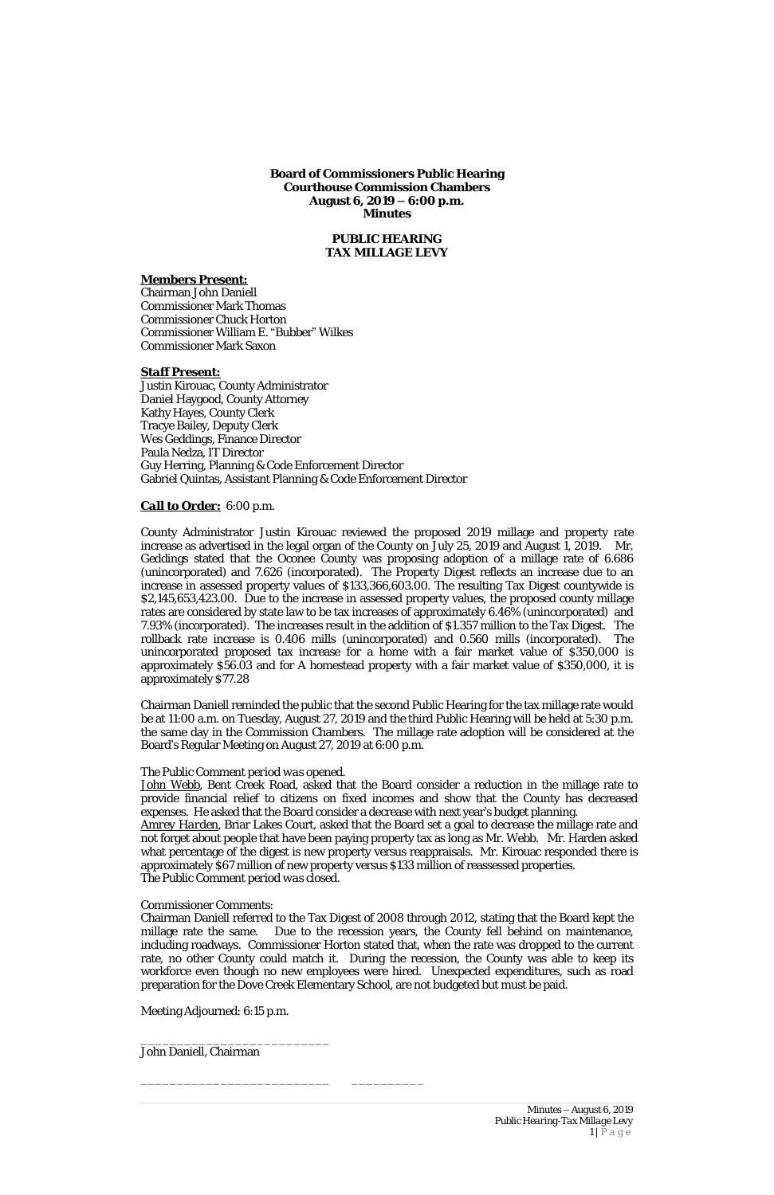**Board of Commissioners Public Hearing Courthouse Commission Chambers August 6, 2019 – 6:00 p.m. Minutes**

# **PUBLIC HEARING TAX MILLAGE LEVY**

## *Members Present:*

Chairman John Daniell Commissioner Mark Thomas Commissioner Chuck Horton Commissioner William E. "Bubber" Wilkes Commissioner Mark Saxon

## *Staff Present:*

Justin Kirouac, County Administrator Daniel Haygood, County Attorney Kathy Hayes, County Clerk Tracye Bailey, Deputy Clerk Wes Geddings, Finance Director Paula Nedza, IT Director Guy Herring, Planning & Code Enforcement Director Gabriel Quintas, Assistant Planning & Code Enforcement Director

## *Call to Order:* 6:00 p.m.

County Administrator Justin Kirouac reviewed the proposed 2019 millage and property rate increase as advertised in the legal organ of the County on July 25, 2019 and August 1, 2019. Mr. Geddings stated that the Oconee County was proposing adoption of a millage rate of 6.686 (unincorporated) and 7.626 (incorporated). The Property Digest reflects an increase due to an increase in assessed property values of \$133,366,603.00. The resulting Tax Digest countywide is \$2,145,653,423.00. Due to the increase in assessed property values, the proposed county millage rates are considered by state law to be tax increases of approximately 6.46% (unincorporated) and 7.93% (incorporated). The increases result in the addition of \$1.357 million to the Tax Digest. The rollback rate increase is 0.406 mills (unincorporated) and 0.560 mills (incorporated). The unincorporated proposed tax increase for a home with a fair market value of \$350,000 is approximately \$56.03 and for A homestead property with a fair market value of \$350,000, it is approximately \$77.28

Chairman Daniell reminded the public that the second Public Hearing for the tax millage rate would be at 11:00 a.m. on Tuesday, August 27, 2019 and the third Public Hearing will be held at 5:30 p.m. the same day in the Commission Chambers. The millage rate adoption will be considered at the Board's Regular Meeting on August 27, 2019 at 6:00 p.m.

## *The Public Comment period was opened.*

*John Webb*, Bent Creek Road, asked that the Board consider a reduction in the millage rate to provide financial relief to citizens on fixed incomes and show that the County has decreased expenses. He asked that the Board consider a decrease with next year's budget planning.

*Amrey Harden*, Briar Lakes Court, asked that the Board set a goal to decrease the millage rate and not forget about people that have been paying property tax as long as Mr. Webb. Mr. Harden asked what percentage of the digest is new property versus reappraisals. Mr. Kirouac responded there is approximately \$67 million of new property versus \$133 million of reassessed properties.

*The Public Comment period was closed.*

Commissioner Comments:

Chairman Daniell referred to the Tax Digest of 2008 through 2012, stating that the Board kept the millage rate the same. Due to the recession years, the County fell behind on maintenance, including roadways. Commissioner Horton stated that, when the rate was dropped to the current rate, no other County could match it. During the recession, the County was able to keep its workforce even though no new employees were hired. Unexpected expenditures, such as road preparation for the Dove Creek Elementary School, are not budgeted but must be paid.

Meeting Adjourned: 6:15 p.m.

\_\_\_\_\_\_\_\_\_\_\_\_\_\_\_\_\_\_\_\_\_\_\_\_\_\_

John Daniell, Chairman

*Minutes – August 6, 2019 Public Hearing-Tax Millage Levy*  $1 | P a g e$ 

\_\_\_\_\_\_\_\_\_\_\_\_\_\_\_\_\_\_\_\_\_\_\_\_\_\_ \_\_\_\_\_\_\_\_\_\_